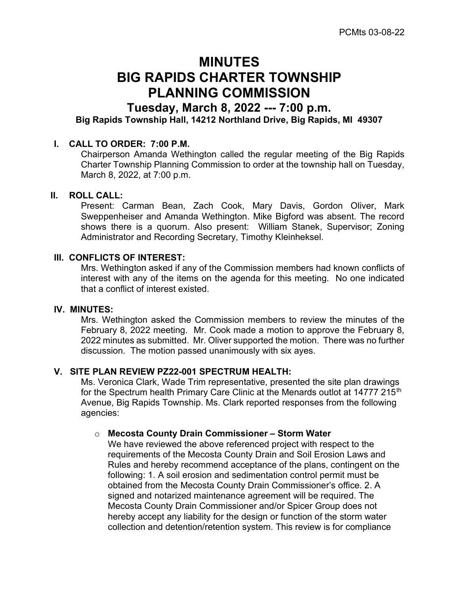# MINUTES BIG RAPIDS CHARTER TOWNSHIP PLANNING COMMISSION

## Tuesday, March 8, 2022 --- 7:00 p.m.

Big Rapids Township Hall, 14212 Northland Drive, Big Rapids, MI 49307

#### I. CALL TO ORDER: 7:00 P.M.

Chairperson Amanda Wethington called the regular meeting of the Big Rapids Charter Township Planning Commission to order at the township hall on Tuesday, March 8, 2022, at 7:00 p.m.

#### II. ROLL CALL:

Present: Carman Bean, Zach Cook, Mary Davis, Gordon Oliver, Mark Sweppenheiser and Amanda Wethington. Mike Bigford was absent. The record shows there is a quorum. Also present: William Stanek, Supervisor; Zoning Administrator and Recording Secretary, Timothy Kleinheksel.

#### III. CONFLICTS OF INTEREST:

Mrs. Wethington asked if any of the Commission members had known conflicts of interest with any of the items on the agenda for this meeting. No one indicated that a conflict of interest existed.

#### IV. MINUTES:

Mrs. Wethington asked the Commission members to review the minutes of the February 8, 2022 meeting. Mr. Cook made a motion to approve the February 8, 2022 minutes as submitted. Mr. Oliver supported the motion. There was no further discussion. The motion passed unanimously with six ayes.

#### V. SITE PLAN REVIEW PZ22-001 SPECTRUM HEALTH:

Ms. Veronica Clark, Wade Trim representative, presented the site plan drawings for the Spectrum health Primary Care Clinic at the Menards outlot at 14777 215<sup>th</sup> Avenue, Big Rapids Township. Ms. Clark reported responses from the following agencies:

#### o Mecosta County Drain Commissioner – Storm Water

We have reviewed the above referenced project with respect to the requirements of the Mecosta County Drain and Soil Erosion Laws and Rules and hereby recommend acceptance of the plans, contingent on the following: 1. A soil erosion and sedimentation control permit must be obtained from the Mecosta County Drain Commissioner's office. 2. A signed and notarized maintenance agreement will be required. The Mecosta County Drain Commissioner and/or Spicer Group does not hereby accept any liability for the design or function of the storm water collection and detention/retention system. This review is for compliance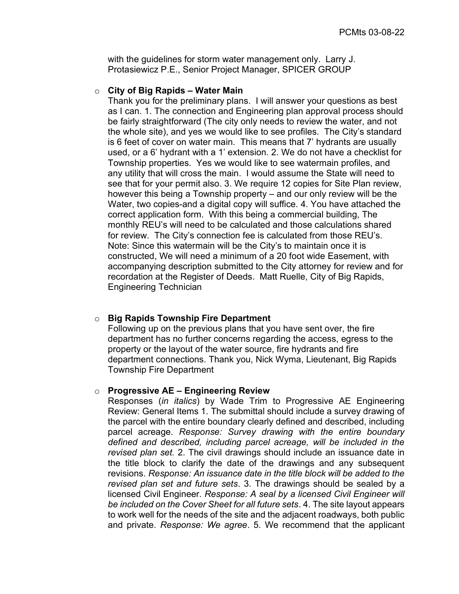with the guidelines for storm water management only. Larry J. Protasiewicz P.E., Senior Project Manager, SPICER GROUP

#### $\circ$  City of Big Rapids – Water Main

Thank you for the preliminary plans. I will answer your questions as best as I can. 1. The connection and Engineering plan approval process should be fairly straightforward (The city only needs to review the water, and not the whole site), and yes we would like to see profiles. The City's standard is 6 feet of cover on water main. This means that 7' hydrants are usually used, or a 6' hydrant with a 1' extension. 2. We do not have a checklist for Township properties. Yes we would like to see watermain profiles, and any utility that will cross the main. I would assume the State will need to see that for your permit also. 3. We require 12 copies for Site Plan review, however this being a Township property – and our only review will be the Water, two copies-and a digital copy will suffice. 4. You have attached the correct application form. With this being a commercial building, The monthly REU's will need to be calculated and those calculations shared for review. The City's connection fee is calculated from those REU's. Note: Since this watermain will be the City's to maintain once it is constructed, We will need a minimum of a 20 foot wide Easement, with accompanying description submitted to the City attorney for review and for recordation at the Register of Deeds. Matt Ruelle, City of Big Rapids, Engineering Technician

#### o Big Rapids Township Fire Department

Following up on the previous plans that you have sent over, the fire department has no further concerns regarding the access, egress to the property or the layout of the water source, fire hydrants and fire department connections. Thank you, Nick Wyma, Lieutenant, Big Rapids Township Fire Department

#### $\circ$  Progressive AE – Engineering Review

Responses (in italics) by Wade Trim to Progressive AE Engineering Review: General Items 1. The submittal should include a survey drawing of the parcel with the entire boundary clearly defined and described, including parcel acreage. Response: Survey drawing with the entire boundary defined and described, including parcel acreage, will be included in the revised plan set. 2. The civil drawings should include an issuance date in the title block to clarify the date of the drawings and any subsequent revisions. Response: An issuance date in the title block will be added to the revised plan set and future sets. 3. The drawings should be sealed by a licensed Civil Engineer. Response: A seal by a licensed Civil Engineer will be included on the Cover Sheet for all future sets. 4. The site layout appears to work well for the needs of the site and the adjacent roadways, both public and private. Response: We agree. 5. We recommend that the applicant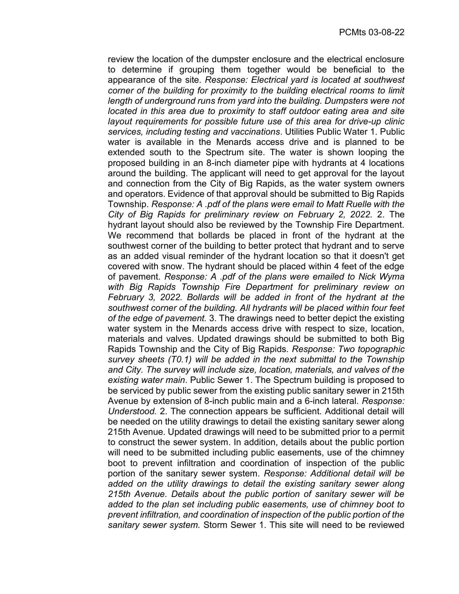review the location of the dumpster enclosure and the electrical enclosure to determine if grouping them together would be beneficial to the appearance of the site. Response: Electrical yard is located at southwest corner of the building for proximity to the building electrical rooms to limit length of underground runs from yard into the building. Dumpsters were not located in this area due to proximity to staff outdoor eating area and site layout requirements for possible future use of this area for drive-up clinic services, including testing and vaccinations. Utilities Public Water 1. Public water is available in the Menards access drive and is planned to be extended south to the Spectrum site. The water is shown looping the proposed building in an 8-inch diameter pipe with hydrants at 4 locations around the building. The applicant will need to get approval for the layout and connection from the City of Big Rapids, as the water system owners and operators. Evidence of that approval should be submitted to Big Rapids Township. Response: A .pdf of the plans were email to Matt Ruelle with the City of Big Rapids for preliminary review on February 2, 2022. 2. The hydrant layout should also be reviewed by the Township Fire Department. We recommend that bollards be placed in front of the hydrant at the southwest corner of the building to better protect that hydrant and to serve as an added visual reminder of the hydrant location so that it doesn't get covered with snow. The hydrant should be placed within 4 feet of the edge of pavement. Response: A .pdf of the plans were emailed to Nick Wyma with Big Rapids Township Fire Department for preliminary review on February 3, 2022. Bollards will be added in front of the hydrant at the southwest corner of the building. All hydrants will be placed within four feet of the edge of pavement. 3. The drawings need to better depict the existing water system in the Menards access drive with respect to size, location, materials and valves. Updated drawings should be submitted to both Big Rapids Township and the City of Big Rapids. Response: Two topographic survey sheets (T0.1) will be added in the next submittal to the Township and City. The survey will include size, location, materials, and valves of the existing water main. Public Sewer 1. The Spectrum building is proposed to be serviced by public sewer from the existing public sanitary sewer in 215th Avenue by extension of 8-inch public main and a 6-inch lateral. Response: Understood. 2. The connection appears be sufficient. Additional detail will be needed on the utility drawings to detail the existing sanitary sewer along 215th Avenue. Updated drawings will need to be submitted prior to a permit to construct the sewer system. In addition, details about the public portion will need to be submitted including public easements, use of the chimney boot to prevent infiltration and coordination of inspection of the public portion of the sanitary sewer system. Response: Additional detail will be added on the utility drawings to detail the existing sanitary sewer along 215th Avenue. Details about the public portion of sanitary sewer will be added to the plan set including public easements, use of chimney boot to prevent infiltration, and coordination of inspection of the public portion of the sanitary sewer system. Storm Sewer 1. This site will need to be reviewed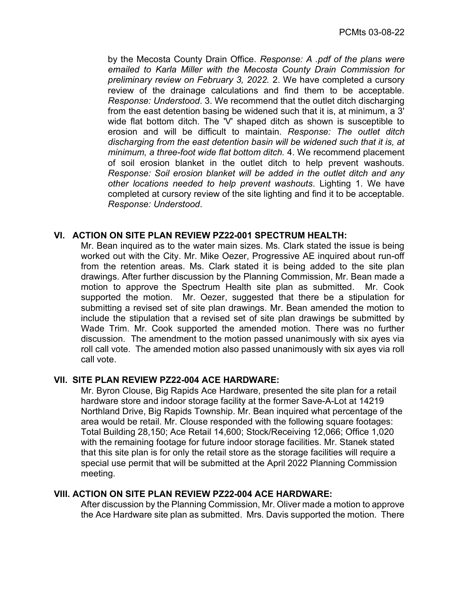by the Mecosta County Drain Office. Response: A .pdf of the plans were emailed to Karla Miller with the Mecosta County Drain Commission for preliminary review on February 3, 2022. 2. We have completed a cursory review of the drainage calculations and find them to be acceptable. Response: Understood. 3. We recommend that the outlet ditch discharging from the east detention basing be widened such that it is, at minimum, a 3' wide flat bottom ditch. The 'V' shaped ditch as shown is susceptible to erosion and will be difficult to maintain. Response: The outlet ditch discharging from the east detention basin will be widened such that it is, at minimum, a three-foot wide flat bottom ditch. 4. We recommend placement of soil erosion blanket in the outlet ditch to help prevent washouts. Response: Soil erosion blanket will be added in the outlet ditch and any other locations needed to help prevent washouts. Lighting 1. We have completed at cursory review of the site lighting and find it to be acceptable. Response: Understood.

#### VI. ACTION ON SITE PLAN REVIEW PZ22-001 SPECTRUM HEALTH:

Mr. Bean inquired as to the water main sizes. Ms. Clark stated the issue is being worked out with the City. Mr. Mike Oezer, Progressive AE inquired about run-off from the retention areas. Ms. Clark stated it is being added to the site plan drawings. After further discussion by the Planning Commission, Mr. Bean made a motion to approve the Spectrum Health site plan as submitted. Mr. Cook supported the motion. Mr. Oezer, suggested that there be a stipulation for submitting a revised set of site plan drawings. Mr. Bean amended the motion to include the stipulation that a revised set of site plan drawings be submitted by Wade Trim. Mr. Cook supported the amended motion. There was no further discussion. The amendment to the motion passed unanimously with six ayes via roll call vote. The amended motion also passed unanimously with six ayes via roll call vote.

#### VII. SITE PLAN REVIEW PZ22-004 ACE HARDWARE:

Mr. Byron Clouse, Big Rapids Ace Hardware, presented the site plan for a retail hardware store and indoor storage facility at the former Save-A-Lot at 14219 Northland Drive, Big Rapids Township. Mr. Bean inquired what percentage of the area would be retail. Mr. Clouse responded with the following square footages: Total Building 28,150; Ace Retail 14,600; Stock/Receiving 12,066; Office 1,020 with the remaining footage for future indoor storage facilities. Mr. Stanek stated that this site plan is for only the retail store as the storage facilities will require a special use permit that will be submitted at the April 2022 Planning Commission meeting.

#### VIII. ACTION ON SITE PLAN REVIEW PZ22-004 ACE HARDWARE:

After discussion by the Planning Commission, Mr. Oliver made a motion to approve the Ace Hardware site plan as submitted. Mrs. Davis supported the motion. There